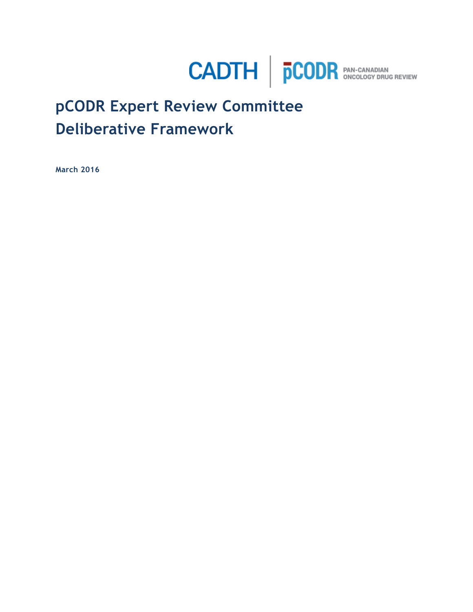

# **pCODR Expert Review Committee Deliberative Framework**

**March 2016**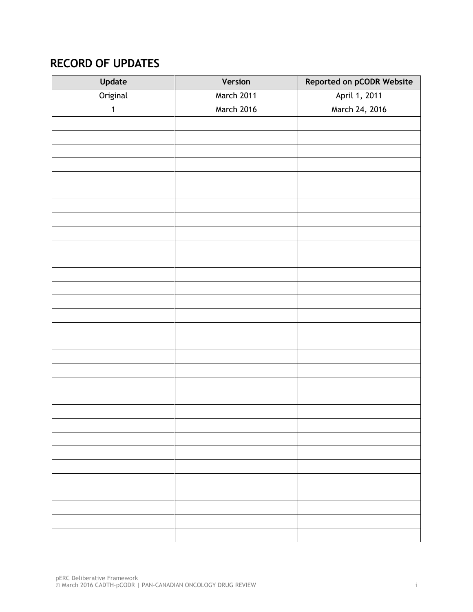## <span id="page-1-0"></span>**RECORD OF UPDATES**

| Update      | Version    | Reported on pCODR Website |
|-------------|------------|---------------------------|
| Original    | March 2011 | April 1, 2011             |
| $\mathbf 1$ | March 2016 | March 24, 2016            |
|             |            |                           |
|             |            |                           |
|             |            |                           |
|             |            |                           |
|             |            |                           |
|             |            |                           |
|             |            |                           |
|             |            |                           |
|             |            |                           |
|             |            |                           |
|             |            |                           |
|             |            |                           |
|             |            |                           |
|             |            |                           |
|             |            |                           |
|             |            |                           |
|             |            |                           |
|             |            |                           |
|             |            |                           |
|             |            |                           |
|             |            |                           |
|             |            |                           |
|             |            |                           |
|             |            |                           |
|             |            |                           |
|             |            |                           |
|             |            |                           |
|             |            |                           |
|             |            |                           |
|             |            |                           |
|             |            |                           |
|             |            |                           |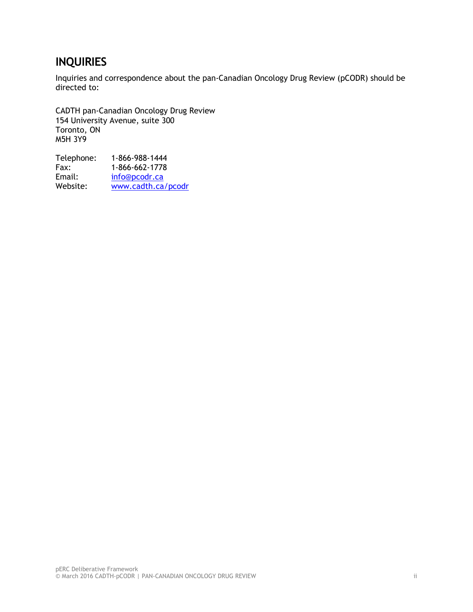### <span id="page-2-0"></span>**INQUIRIES**

Inquiries and correspondence about the pan-Canadian Oncology Drug Review (pCODR) should be directed to:

CADTH pan-Canadian Oncology Drug Review 154 University Avenue, suite 300 Toronto, ON M5H 3Y9

| 1-866-988-1444     |
|--------------------|
| 1-866-662-1778     |
| info@pcodr.ca      |
| www.cadth.ca/pcodr |
|                    |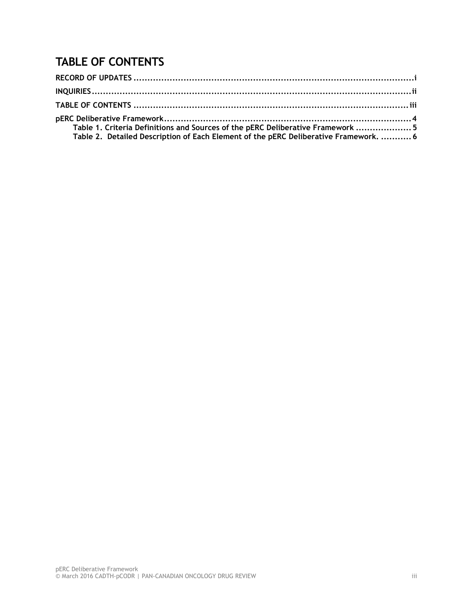## <span id="page-3-0"></span>**TABLE OF CONTENTS**

| Table 1. Criteria Definitions and Sources of the pERC Deliberative Framework  5      |  |
|--------------------------------------------------------------------------------------|--|
| Table 2. Detailed Description of Each Element of the pERC Deliberative Framework.  6 |  |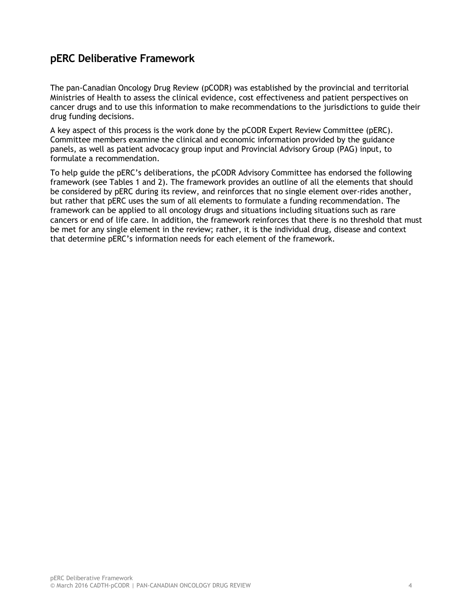#### <span id="page-4-0"></span>**pERC Deliberative Framework**

The pan-Canadian Oncology Drug Review (pCODR) was established by the provincial and territorial Ministries of Health to assess the clinical evidence, cost effectiveness and patient perspectives on cancer drugs and to use this information to make recommendations to the jurisdictions to guide their drug funding decisions.

A key aspect of this process is the work done by the pCODR Expert Review Committee (pERC). Committee members examine the clinical and economic information provided by the guidance panels, as well as patient advocacy group input and Provincial Advisory Group (PAG) input, to formulate a recommendation.

<span id="page-4-1"></span>To help guide the pERC's deliberations, the pCODR Advisory Committee has endorsed the following framework (see Tables 1 and 2). The framework provides an outline of all the elements that should be considered by pERC during its review, and reinforces that no single element over-rides another, but rather that pERC uses the sum of all elements to formulate a funding recommendation. The framework can be applied to all oncology drugs and situations including situations such as rare cancers or end of life care. In addition, the framework reinforces that there is no threshold that must be met for any single element in the review; rather, it is the individual drug, disease and context that determine pERC's information needs for each element of the framework.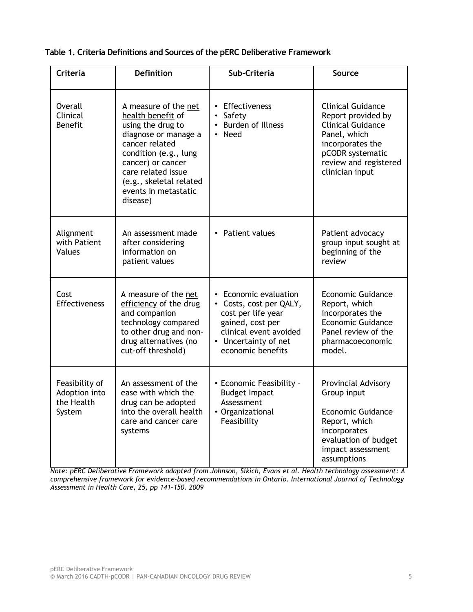**Table 1. Criteria Definitions and Sources of the pERC Deliberative Framework**

| <b>Criteria</b>                                         | <b>Definition</b>                                                                                                                                                                                                                           | Sub-Criteria                                                                                                                                                                 | Source                                                                                                                                                                         |
|---------------------------------------------------------|---------------------------------------------------------------------------------------------------------------------------------------------------------------------------------------------------------------------------------------------|------------------------------------------------------------------------------------------------------------------------------------------------------------------------------|--------------------------------------------------------------------------------------------------------------------------------------------------------------------------------|
| <b>Overall</b><br>Clinical<br><b>Benefit</b>            | A measure of the net<br>health benefit of<br>using the drug to<br>diagnose or manage a<br>cancer related<br>condition (e.g., lung<br>cancer) or cancer<br>care related issue<br>(e.g., skeletal related<br>events in metastatic<br>disease) | • Effectiveness<br>$\bullet$<br>Safety<br><b>Burden of Illness</b><br>Need                                                                                                   | <b>Clinical Guidance</b><br>Report provided by<br><b>Clinical Guidance</b><br>Panel, which<br>incorporates the<br>pCODR systematic<br>review and registered<br>clinician input |
| Alignment<br>with Patient<br>Values                     | An assessment made<br>after considering<br>information on<br>patient values                                                                                                                                                                 | • Patient values                                                                                                                                                             | Patient advocacy<br>group input sought at<br>beginning of the<br>review                                                                                                        |
| Cost<br>Effectiveness                                   | A measure of the net<br>efficiency of the drug<br>and companion<br>technology compared<br>to other drug and non-<br>drug alternatives (no<br>cut-off threshold)                                                                             | • Economic evaluation<br>Costs, cost per QALY,<br>$\bullet$<br>cost per life year<br>gained, cost per<br>clinical event avoided<br>• Uncertainty of net<br>economic benefits | <b>Economic Guidance</b><br>Report, which<br>incorporates the<br><b>Economic Guidance</b><br>Panel review of the<br>pharmacoeconomic<br>model.                                 |
| Feasibility of<br>Adoption into<br>the Health<br>System | An assessment of the<br>ease with which the<br>drug can be adopted<br>into the overall health<br>care and cancer care<br>systems                                                                                                            | • Economic Feasibility -<br><b>Budget Impact</b><br>Assessment<br>• Organizational<br>Feasibility                                                                            | Provincial Advisory<br>Group input<br><b>Economic Guidance</b><br>Report, which<br>incorporates<br>evaluation of budget<br>impact assessment<br>assumptions                    |

<span id="page-5-0"></span>*Note: pERC Deliberative Framework adapted from Johnson, Sikich, Evans et al. Health technology assessment: A comprehensive framework for evidence-based recommendations in Ontario. International Journal of Technology Assessment in Health Care, 25, pp 141-150. 2009*